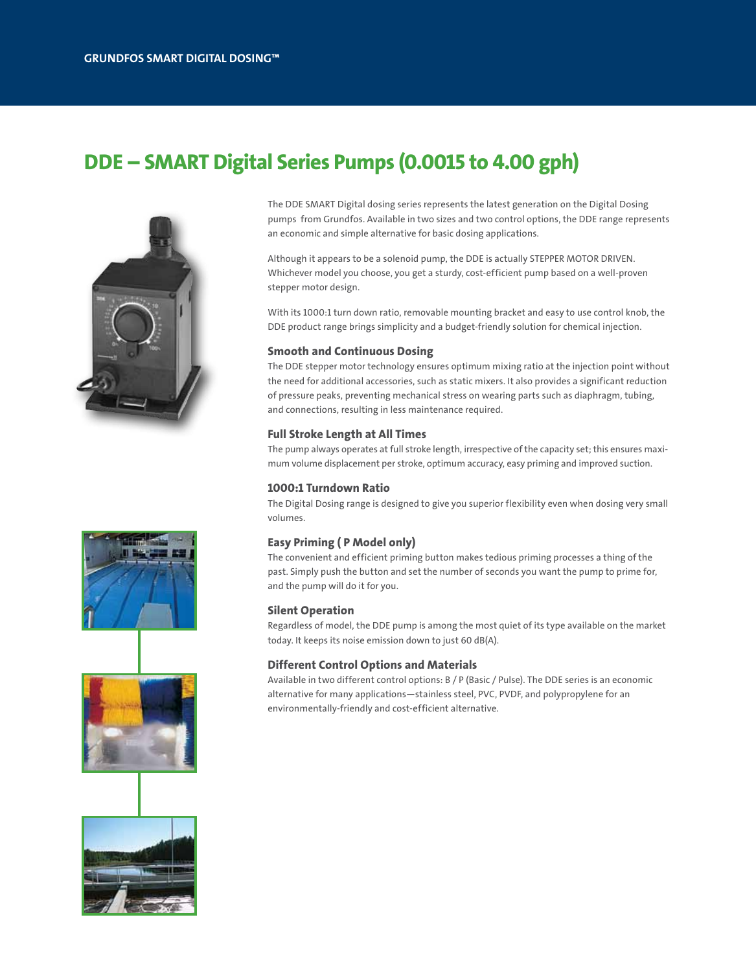# DDE – SMART Digital Series Pumps (0.0015 to 4.00 gph)



The DDE SMART Digital dosing series represents the latest generation on the Digital Dosing pumps from Grundfos. Available in two sizes and two control options, the DDE range represents an economic and simple alternative for basic dosing applications.

Although it appears to be a solenoid pump, the DDE is actually STEPPER MOTOR DRIVEN. Whichever model you choose, you get a sturdy, cost-efficient pump based on a well-proven stepper motor design.

With its 1000:1 turn down ratio, removable mounting bracket and easy to use control knob, the DDE product range brings simplicity and a budget-friendly solution for chemical injection.

#### Smooth and Continuous Dosing

The DDE stepper motor technology ensures optimum mixing ratio at the injection point without the need for additional accessories, such as static mixers. It also provides a significant reduction of pressure peaks, preventing mechanical stress on wearing parts such as diaphragm, tubing, and connections, resulting in less maintenance required.

## Full Stroke Length at All Times

The pump always operates at full stroke length, irrespective of the capacity set; this ensures maximum volume displacement per stroke, optimum accuracy, easy priming and improved suction.

#### 1000:1 Turndown Ratio

The Digital Dosing range is designed to give you superior flexibility even when dosing very small volumes.

## Easy Priming ( P Model only)

The convenient and efficient priming button makes tedious priming processes a thing of the past. Simply push the button and set the number of seconds you want the pump to prime for, and the pump will do it for you.

#### Silent Operation

Regardless of model, the DDE pump is among the most quiet of its type available on the market today. It keeps its noise emission down to just 60 dB(A).

### Different Control Options and Materials

Available in two different control options: B / P (Basic / Pulse). The DDE series is an economic alternative for many applications—stainless steel, PVC, PVDF, and polypropylene for an environmentally-friendly and cost-efficient alternative.